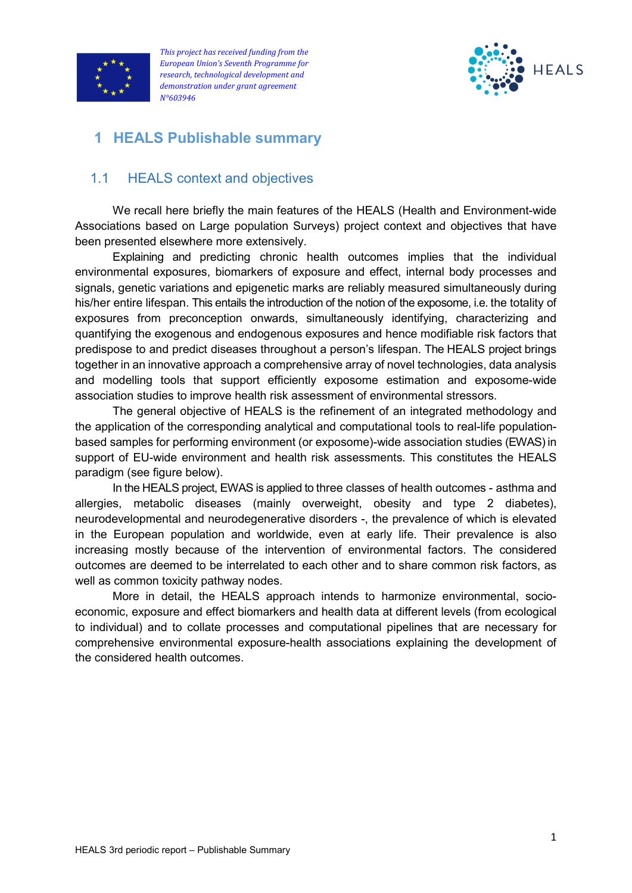



# 1 HEALS Publishable summary

## 1.1 HEALS context and objectives

We recall here briefly the main features of the HEALS (Health and Environment-wide Associations based on Large population Surveys) project context and objectives that have been presented elsewhere more extensively.

Explaining and predicting chronic health outcomes implies that the individual environmental exposures, biomarkers of exposure and effect, internal body processes and signals, genetic variations and epigenetic marks are reliably measured simultaneously during his/her entire lifespan. This entails the introduction of the notion of the exposome, i.e. the totality of exposures from preconception onwards, simultaneously identifying, characterizing and quantifying the exogenous and endogenous exposures and hence modifiable risk factors that predispose to and predict diseases throughout a person's lifespan. The HEALS project brings together in an innovative approach a comprehensive array of novel technologies, data analysis and modelling tools that support efficiently exposome estimation and exposome-wide association studies to improve health risk assessment of environmental stressors.

The general objective of HEALS is the refinement of an integrated methodology and the application of the corresponding analytical and computational tools to real-life populationbased samples for performing environment (or exposome)-wide association studies (EWAS) in support of EU-wide environment and health risk assessments. This constitutes the HEALS paradigm (see figure below).

In the HEALS project, EWAS is applied to three classes of health outcomes - asthma and allergies, metabolic diseases (mainly overweight, obesity and type 2 diabetes), neurodevelopmental and neurodegenerative disorders -, the prevalence of which is elevated in the European population and worldwide, even at early life. Their prevalence is also increasing mostly because of the intervention of environmental factors. The considered outcomes are deemed to be interrelated to each other and to share common risk factors, as well as common toxicity pathway nodes.

More in detail, the HEALS approach intends to harmonize environmental, socioeconomic, exposure and effect biomarkers and health data at different levels (from ecological to individual) and to collate processes and computational pipelines that are necessary for comprehensive environmental exposure-health associations explaining the development of the considered health outcomes.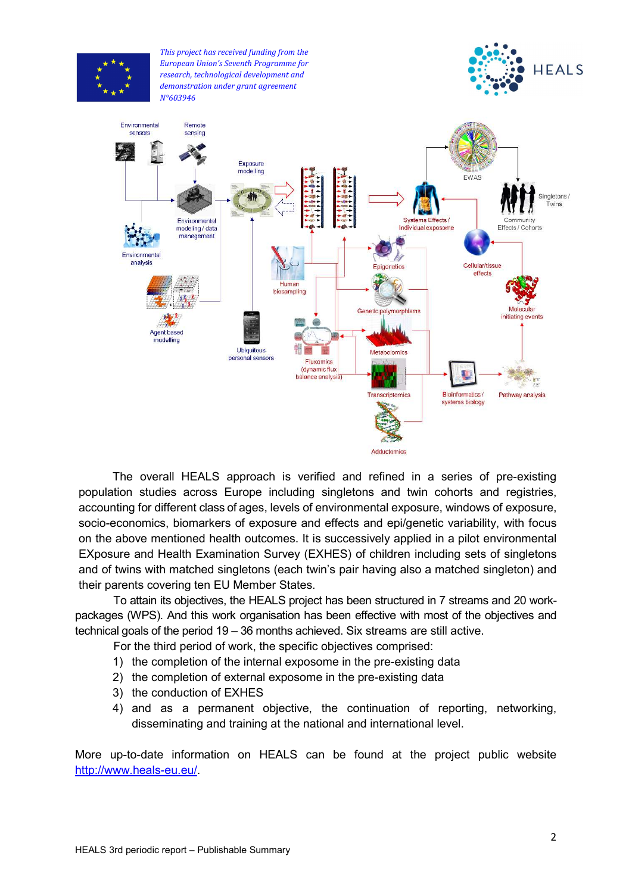

The overall HEALS approach is verified and refined in a series of pre-existing population studies across Europe including singletons and twin cohorts and registries, accounting for different class of ages, levels of environmental exposure, windows of exposure, socio-economics, biomarkers of exposure and effects and epi/genetic variability, with focus on the above mentioned health outcomes. It is successively applied in a pilot environmental EXposure and Health Examination Survey (EXHES) of children including sets of singletons and of twins with matched singletons (each twin's pair having also a matched singleton) and their parents covering ten EU Member States.

To attain its objectives, the HEALS project has been structured in 7 streams and 20 workpackages (WPS). And this work organisation has been effective with most of the objectives and technical goals of the period 19 – 36 months achieved. Six streams are still active.

For the third period of work, the specific objectives comprised:

- 1) the completion of the internal exposome in the pre-existing data
- 2) the completion of external exposome in the pre-existing data
- 3) the conduction of EXHES
- 4) and as a permanent objective, the continuation of reporting, networking, disseminating and training at the national and international level.

More up-to-date information on HEALS can be found at the project public website http://www.heals-eu.eu/.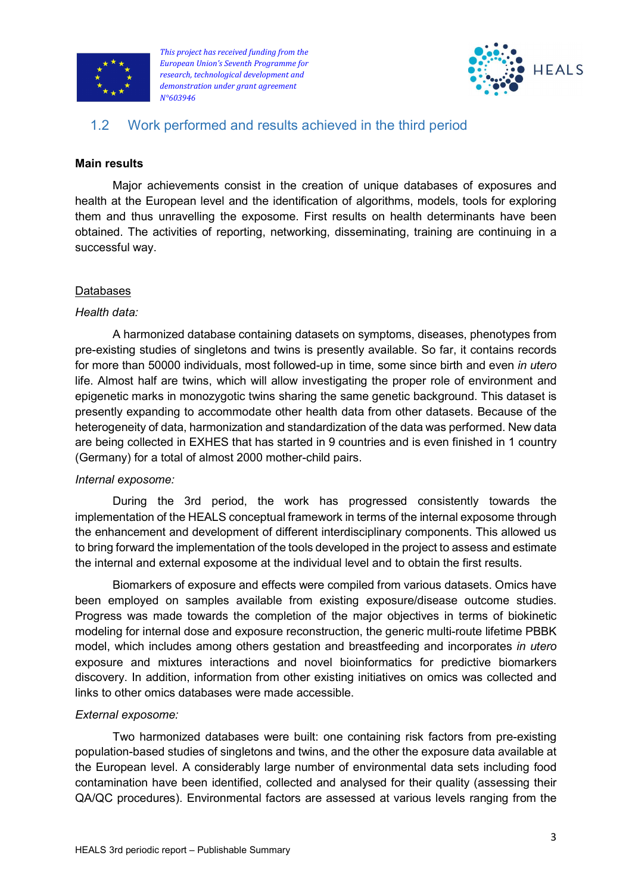



## 1.2 Work performed and results achieved in the third period

## Main results

Major achievements consist in the creation of unique databases of exposures and health at the European level and the identification of algorithms, models, tools for exploring them and thus unravelling the exposome. First results on health determinants have been obtained. The activities of reporting, networking, disseminating, training are continuing in a successful way.

### Databases

### Health data:

A harmonized database containing datasets on symptoms, diseases, phenotypes from pre-existing studies of singletons and twins is presently available. So far, it contains records for more than 50000 individuals, most followed-up in time, some since birth and even in utero life. Almost half are twins, which will allow investigating the proper role of environment and epigenetic marks in monozygotic twins sharing the same genetic background. This dataset is presently expanding to accommodate other health data from other datasets. Because of the heterogeneity of data, harmonization and standardization of the data was performed. New data are being collected in EXHES that has started in 9 countries and is even finished in 1 country (Germany) for a total of almost 2000 mother-child pairs.

### Internal exposome:

During the 3rd period, the work has progressed consistently towards the implementation of the HEALS conceptual framework in terms of the internal exposome through the enhancement and development of different interdisciplinary components. This allowed us to bring forward the implementation of the tools developed in the project to assess and estimate the internal and external exposome at the individual level and to obtain the first results.

Biomarkers of exposure and effects were compiled from various datasets. Omics have been employed on samples available from existing exposure/disease outcome studies. Progress was made towards the completion of the major objectives in terms of biokinetic modeling for internal dose and exposure reconstruction, the generic multi-route lifetime PBBK model, which includes among others gestation and breastfeeding and incorporates in utero exposure and mixtures interactions and novel bioinformatics for predictive biomarkers discovery. In addition, information from other existing initiatives on omics was collected and links to other omics databases were made accessible.

## External exposome:

Two harmonized databases were built: one containing risk factors from pre-existing population-based studies of singletons and twins, and the other the exposure data available at the European level. A considerably large number of environmental data sets including food contamination have been identified, collected and analysed for their quality (assessing their QA/QC procedures). Environmental factors are assessed at various levels ranging from the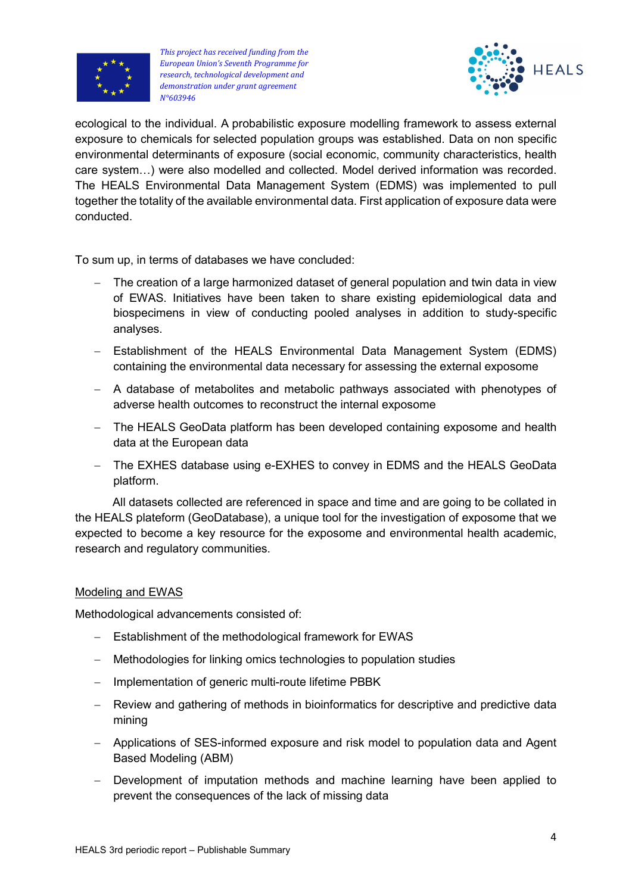



ecological to the individual. A probabilistic exposure modelling framework to assess external exposure to chemicals for selected population groups was established. Data on non specific environmental determinants of exposure (social economic, community characteristics, health care system…) were also modelled and collected. Model derived information was recorded. The HEALS Environmental Data Management System (EDMS) was implemented to pull together the totality of the available environmental data. First application of exposure data were conducted.

To sum up, in terms of databases we have concluded:

- The creation of a large harmonized dataset of general population and twin data in view of EWAS. Initiatives have been taken to share existing epidemiological data and biospecimens in view of conducting pooled analyses in addition to study-specific analyses.
- Establishment of the HEALS Environmental Data Management System (EDMS) containing the environmental data necessary for assessing the external exposome
- A database of metabolites and metabolic pathways associated with phenotypes of adverse health outcomes to reconstruct the internal exposome
- The HEALS GeoData platform has been developed containing exposome and health data at the European data
- The EXHES database using e-EXHES to convey in EDMS and the HEALS GeoData platform.

All datasets collected are referenced in space and time and are going to be collated in the HEALS plateform (GeoDatabase), a unique tool for the investigation of exposome that we expected to become a key resource for the exposome and environmental health academic, research and regulatory communities.

### Modeling and EWAS

Methodological advancements consisted of:

- Establishment of the methodological framework for EWAS
- Methodologies for linking omics technologies to population studies
- Implementation of generic multi-route lifetime PBBK
- Review and gathering of methods in bioinformatics for descriptive and predictive data mining
- Applications of SES-informed exposure and risk model to population data and Agent Based Modeling (ABM)
- Development of imputation methods and machine learning have been applied to prevent the consequences of the lack of missing data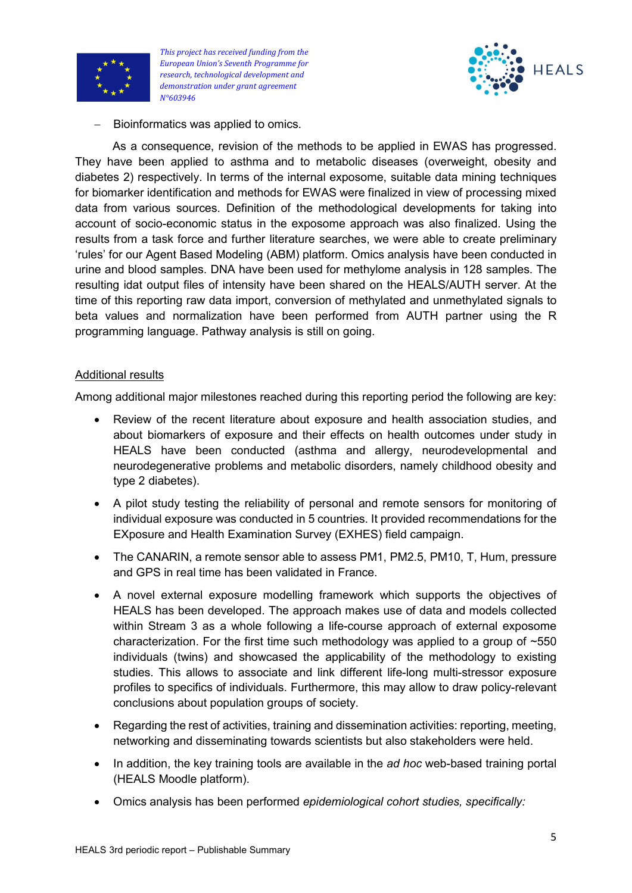



- Bioinformatics was applied to omics.

As a consequence, revision of the methods to be applied in EWAS has progressed. They have been applied to asthma and to metabolic diseases (overweight, obesity and diabetes 2) respectively. In terms of the internal exposome, suitable data mining techniques for biomarker identification and methods for EWAS were finalized in view of processing mixed data from various sources. Definition of the methodological developments for taking into account of socio-economic status in the exposome approach was also finalized. Using the results from a task force and further literature searches, we were able to create preliminary 'rules' for our Agent Based Modeling (ABM) platform. Omics analysis have been conducted in urine and blood samples. DNA have been used for methylome analysis in 128 samples. The resulting idat output files of intensity have been shared on the HEALS/AUTH server. At the time of this reporting raw data import, conversion of methylated and unmethylated signals to beta values and normalization have been performed from AUTH partner using the R programming language. Pathway analysis is still on going.

### Additional results

Among additional major milestones reached during this reporting period the following are key:

- Review of the recent literature about exposure and health association studies, and about biomarkers of exposure and their effects on health outcomes under study in HEALS have been conducted (asthma and allergy, neurodevelopmental and neurodegenerative problems and metabolic disorders, namely childhood obesity and type 2 diabetes).
- A pilot study testing the reliability of personal and remote sensors for monitoring of individual exposure was conducted in 5 countries. It provided recommendations for the EXposure and Health Examination Survey (EXHES) field campaign.
- The CANARIN, a remote sensor able to assess PM1, PM2.5, PM10, T, Hum, pressure and GPS in real time has been validated in France.
- A novel external exposure modelling framework which supports the objectives of HEALS has been developed. The approach makes use of data and models collected within Stream 3 as a whole following a life-course approach of external exposome characterization. For the first time such methodology was applied to a group of ~550 individuals (twins) and showcased the applicability of the methodology to existing studies. This allows to associate and link different life-long multi-stressor exposure profiles to specifics of individuals. Furthermore, this may allow to draw policy-relevant conclusions about population groups of society.
- Regarding the rest of activities, training and dissemination activities: reporting, meeting, networking and disseminating towards scientists but also stakeholders were held.
- In addition, the key training tools are available in the *ad hoc* web-based training portal (HEALS Moodle platform).
- Omics analysis has been performed epidemiological cohort studies, specifically: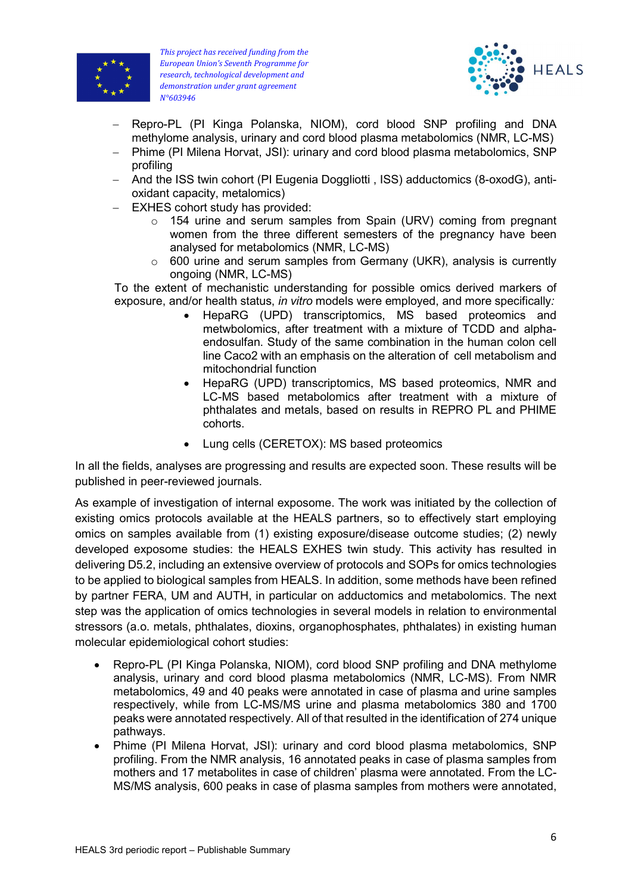



- Repro-PL (PI Kinga Polanska, NIOM), cord blood SNP profiling and DNA methylome analysis, urinary and cord blood plasma metabolomics (NMR, LC-MS)
- Phime (PI Milena Horvat, JSI): urinary and cord blood plasma metabolomics, SNP profiling
- And the ISS twin cohort (PI Eugenia Doggliotti, ISS) adductomics (8-oxodG), antioxidant capacity, metalomics)
- EXHES cohort study has provided:
	- o 154 urine and serum samples from Spain (URV) coming from pregnant women from the three different semesters of the pregnancy have been analysed for metabolomics (NMR, LC-MS)
	- $\circ$  600 urine and serum samples from Germany (UKR), analysis is currently ongoing (NMR, LC-MS)

To the extent of mechanistic understanding for possible omics derived markers of exposure, and/or health status, in vitro models were employed, and more specifically:

- HepaRG (UPD) transcriptomics, MS based proteomics and metwbolomics, after treatment with a mixture of TCDD and alphaendosulfan. Study of the same combination in the human colon cell line Caco2 with an emphasis on the alteration of cell metabolism and mitochondrial function
- HepaRG (UPD) transcriptomics, MS based proteomics, NMR and LC-MS based metabolomics after treatment with a mixture of phthalates and metals, based on results in REPRO PL and PHIME cohorts.
- Lung cells (CERETOX): MS based proteomics

In all the fields, analyses are progressing and results are expected soon. These results will be published in peer-reviewed journals.

As example of investigation of internal exposome. The work was initiated by the collection of existing omics protocols available at the HEALS partners, so to effectively start employing omics on samples available from (1) existing exposure/disease outcome studies; (2) newly developed exposome studies: the HEALS EXHES twin study. This activity has resulted in delivering D5.2, including an extensive overview of protocols and SOPs for omics technologies to be applied to biological samples from HEALS. In addition, some methods have been refined by partner FERA, UM and AUTH, in particular on adductomics and metabolomics. The next step was the application of omics technologies in several models in relation to environmental stressors (a.o. metals, phthalates, dioxins, organophosphates, phthalates) in existing human molecular epidemiological cohort studies:

- Repro-PL (PI Kinga Polanska, NIOM), cord blood SNP profiling and DNA methylome analysis, urinary and cord blood plasma metabolomics (NMR, LC-MS). From NMR metabolomics, 49 and 40 peaks were annotated in case of plasma and urine samples respectively, while from LC-MS/MS urine and plasma metabolomics 380 and 1700 peaks were annotated respectively. All of that resulted in the identification of 274 unique pathways.
- Phime (PI Milena Horvat, JSI): urinary and cord blood plasma metabolomics, SNP profiling. From the NMR analysis, 16 annotated peaks in case of plasma samples from mothers and 17 metabolites in case of children' plasma were annotated. From the LC-MS/MS analysis, 600 peaks in case of plasma samples from mothers were annotated,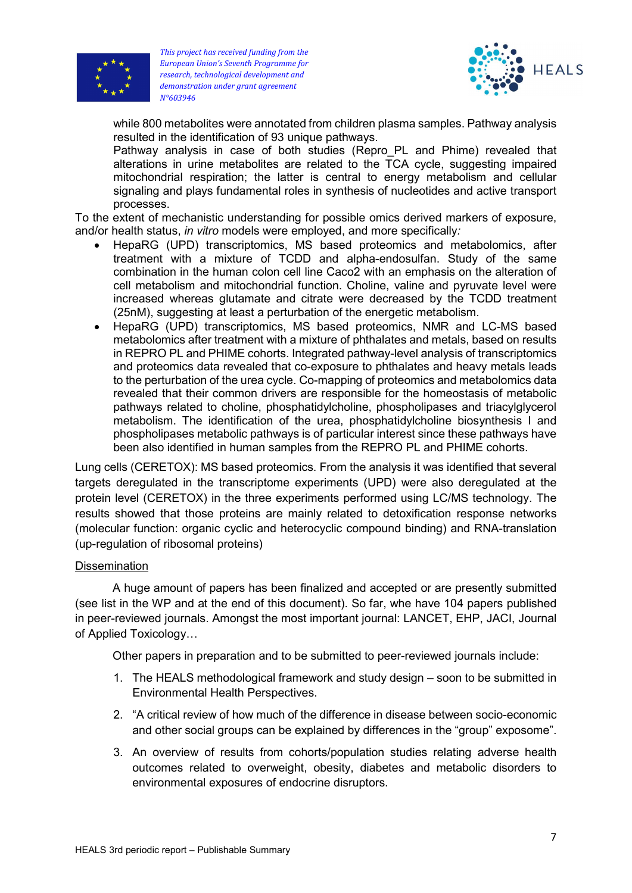



while 800 metabolites were annotated from children plasma samples. Pathway analysis resulted in the identification of 93 unique pathways.

Pathway analysis in case of both studies (Repro PL and Phime) revealed that alterations in urine metabolites are related to the TCA cycle, suggesting impaired mitochondrial respiration; the latter is central to energy metabolism and cellular signaling and plays fundamental roles in synthesis of nucleotides and active transport processes.

To the extent of mechanistic understanding for possible omics derived markers of exposure, and/or health status, in vitro models were employed, and more specifically:

- HepaRG (UPD) transcriptomics, MS based proteomics and metabolomics, after treatment with a mixture of TCDD and alpha-endosulfan. Study of the same combination in the human colon cell line Caco2 with an emphasis on the alteration of cell metabolism and mitochondrial function. Choline, valine and pyruvate level were increased whereas glutamate and citrate were decreased by the TCDD treatment (25nM), suggesting at least a perturbation of the energetic metabolism.
- HepaRG (UPD) transcriptomics, MS based proteomics, NMR and LC-MS based metabolomics after treatment with a mixture of phthalates and metals, based on results in REPRO PL and PHIME cohorts. Integrated pathway-level analysis of transcriptomics and proteomics data revealed that co-exposure to phthalates and heavy metals leads to the perturbation of the urea cycle. Co-mapping of proteomics and metabolomics data revealed that their common drivers are responsible for the homeostasis of metabolic pathways related to choline, phosphatidylcholine, phospholipases and triacylglycerol metabolism. The identification of the urea, phosphatidylcholine biosynthesis I and phospholipases metabolic pathways is of particular interest since these pathways have been also identified in human samples from the REPRO PL and PHIME cohorts.

Lung cells (CERETOX): MS based proteomics. From the analysis it was identified that several targets deregulated in the transcriptome experiments (UPD) were also deregulated at the protein level (CERETOX) in the three experiments performed using LC/MS technology. The results showed that those proteins are mainly related to detoxification response networks (molecular function: organic cyclic and heterocyclic compound binding) and RNA-translation (up-regulation of ribosomal proteins)

### **Dissemination**

A huge amount of papers has been finalized and accepted or are presently submitted (see list in the WP and at the end of this document). So far, whe have 104 papers published in peer-reviewed journals. Amongst the most important journal: LANCET, EHP, JACI, Journal of Applied Toxicology…

Other papers in preparation and to be submitted to peer-reviewed journals include:

- 1. The HEALS methodological framework and study design soon to be submitted in Environmental Health Perspectives.
- 2. "A critical review of how much of the difference in disease between socio-economic and other social groups can be explained by differences in the "group" exposome".
- 3. An overview of results from cohorts/population studies relating adverse health outcomes related to overweight, obesity, diabetes and metabolic disorders to environmental exposures of endocrine disruptors.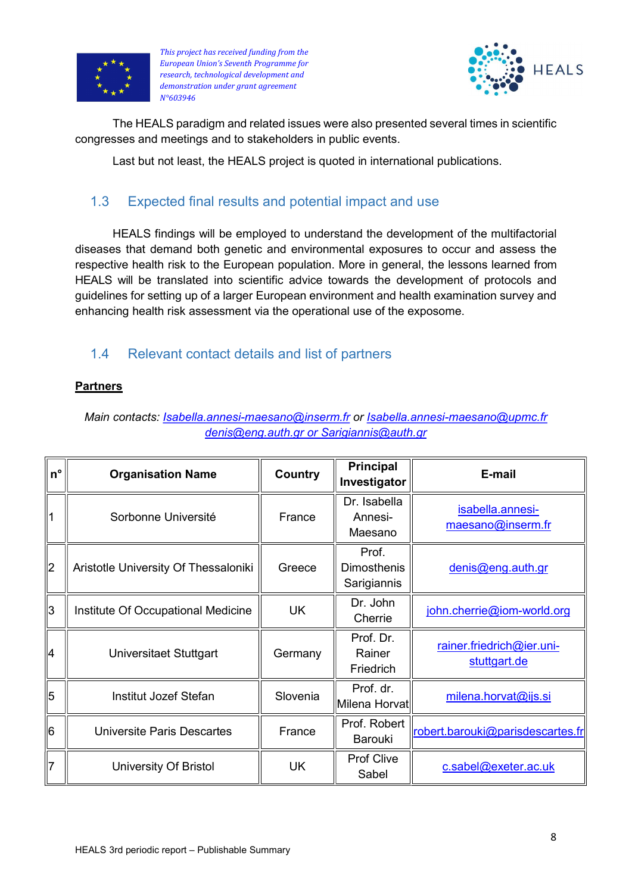



The HEALS paradigm and related issues were also presented several times in scientific congresses and meetings and to stakeholders in public events.

Last but not least, the HEALS project is quoted in international publications.

## 1.3 Expected final results and potential impact and use

HEALS findings will be employed to understand the development of the multifactorial diseases that demand both genetic and environmental exposures to occur and assess the respective health risk to the European population. More in general, the lessons learned from HEALS will be translated into scientific advice towards the development of protocols and guidelines for setting up of a larger European environment and health examination survey and enhancing health risk assessment via the operational use of the exposome.

## 1.4 Relevant contact details and list of partners

## **Partners**

Main contacts: *Isabella.annesi-maesano@inserm.fr or Isabella.annesi-maesano@upmc.fr* denis@eng.auth.gr or Sarigiannis@auth.gr

| $n^{\circ}$    | <b>Organisation Name</b>             | Country   | <b>Principal</b><br>Investigator           | E-mail                                    |
|----------------|--------------------------------------|-----------|--------------------------------------------|-------------------------------------------|
| 1              | Sorbonne Université                  | France    | Dr. Isabella<br>Annesi-<br>Maesano         | isabella.annesi-<br>maesano@inserm.fr     |
| 2              | Aristotle University Of Thessaloniki | Greece    | Prof.<br><b>Dimosthenis</b><br>Sarigiannis | denis@eng.auth.gr                         |
| 3              | Institute Of Occupational Medicine   | <b>UK</b> | Dr. John<br>Cherrie                        | john.cherrie@jom-world.org                |
| 14             | Universitaet Stuttgart               | Germany   | Prof. Dr.<br>Rainer<br>Friedrich           | rainer.friedrich@ier.uni-<br>stuttgart.de |
| 5              | Institut Jozef Stefan                | Slovenia  | Prof. dr.<br>Milena Horvat                 | milena.horvat@ijs.si                      |
| 16             | Universite Paris Descartes           | France    | Prof. Robert<br><b>Barouki</b>             | robert.barouki@parisdescartes.fr          |
| $\overline{7}$ | University Of Bristol                | <b>UK</b> | <b>Prof Clive</b><br>Sabel                 | c.sabel@exeter.ac.uk                      |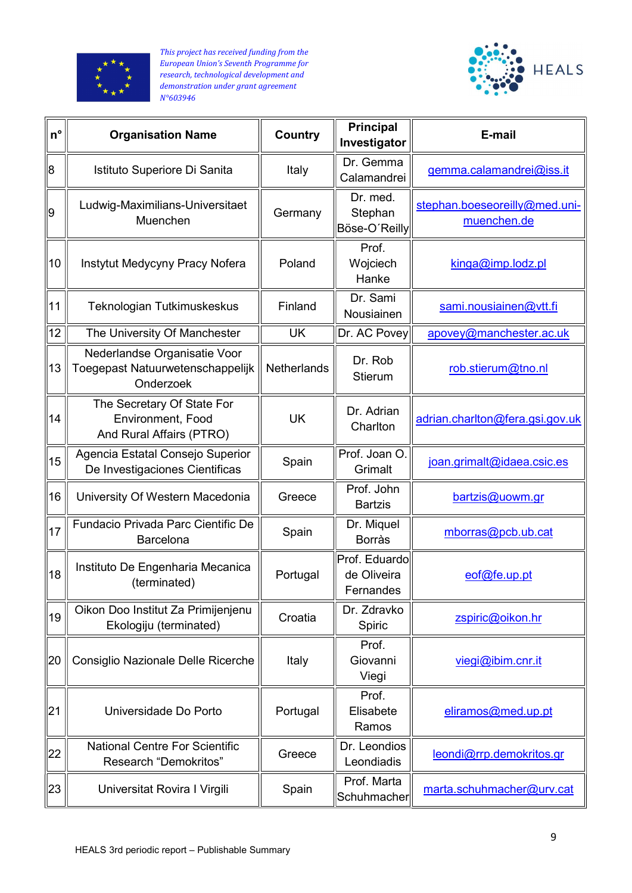



| $n^{\circ}$    | <b>Organisation Name</b>                                                      | Country     | <b>Principal</b><br>Investigator          | E-mail                                       |
|----------------|-------------------------------------------------------------------------------|-------------|-------------------------------------------|----------------------------------------------|
| 8              | Istituto Superiore Di Sanita                                                  | Italy       | Dr. Gemma<br>Calamandrei                  | gemma.calamandrei@iss.it                     |
| ∥9             | Ludwig-Maximilians-Universitaet<br>Muenchen                                   | Germany     | Dr. med.<br>Stephan<br>Böse-O'Reilly      | stephan.boeseoreilly@med.uni-<br>muenchen.de |
| ∥10            | Instytut Medycyny Pracy Nofera                                                | Poland      | Prof.<br>Wojciech<br>Hanke                | kinga@imp.loadz.pl                           |
| $\parallel$ 11 | Teknologian Tutkimuskeskus                                                    | Finland     | Dr. Sami<br>Nousiainen                    | sami.nousiainen@vtt.fi                       |
| $\sqrt{12}$    | The University Of Manchester                                                  | <b>UK</b>   | Dr. AC Povey                              | apovey@manchester.ac.uk                      |
| ∥13            | Nederlandse Organisatie Voor<br>Toegepast Natuurwetenschappelijk<br>Onderzoek | Netherlands | Dr. Rob<br><b>Stierum</b>                 | rob.stierum@tno.nl                           |
| ∥14            | The Secretary Of State For<br>Environment, Food<br>And Rural Affairs (PTRO)   | <b>UK</b>   | Dr. Adrian<br>Charlton                    | adrian.charlton@fera.gsi.gov.uk              |
| ∥15            | Agencia Estatal Consejo Superior<br>De Investigaciones Cientificas            | Spain       | Prof. Joan O.<br>Grimalt                  | joan.grimalt@idaea.csic.es                   |
| ∥16            | University Of Western Macedonia                                               | Greece      | Prof. John<br><b>Bartzis</b>              | bartzis@uowm.gr                              |
| $\parallel$ 17 | Fundacio Privada Parc Cientific De<br>Barcelona                               | Spain       | Dr. Miquel<br><b>Borràs</b>               | mborras@pcb.ub.cat                           |
| ∥18            | Instituto De Engenharia Mecanica<br>(terminated)                              | Portugal    | Prof. Eduardo<br>de Oliveira<br>Fernandes | eof@fe.up.pt                                 |
| ∥19            | Oikon Doo Institut Za Primijenjenu<br>Ekologiju (terminated)                  | Croatia     | Dr. Zdravko<br>Spiric                     | zspiric@oikon.hr                             |
| 20             | Consiglio Nazionale Delle Ricerche                                            | Italy       | Prof.<br>Giovanni<br>Viegi                | viegi@ibim.cnr.it                            |
| 21             | Universidade Do Porto                                                         | Portugal    | Prof.<br>Elisabete<br>Ramos               | eliramos@med.up.pt                           |
| 22∥            | <b>National Centre For Scientific</b><br>Research "Demokritos"                | Greece      | Dr. Leondios<br>Leondiadis                | leondi@rrp.demokritos.gr                     |
| 23             | Universitat Rovira I Virgili                                                  | Spain       | Prof. Marta<br>Schuhmacher                | marta.schuhmacher@urv.cat                    |